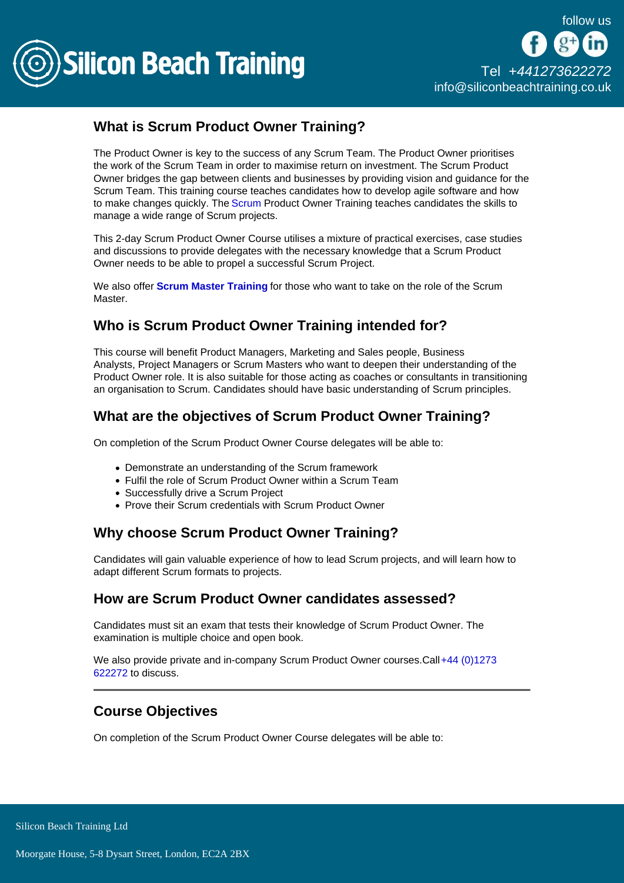

# What is Scrum Product Owner Training?

The Product Owner is key to the success of any Scrum Team. The Product Owner prioritises the work of the Scrum Team in order to maximise return on investment. The Scrum Product Owner bridges the gap between clients and businesses by providing vision and guidance for the Scrum Team. This training course teaches candidates how to develop agile software and how to make changes quickly. The [Scrum](/scrum-training) Product Owner Training teaches candidates the skills to manage a wide range of Scrum projects.

This 2-day Scrum Product Owner Course utilises a mixture of practical exercises, case studies and discussions to provide delegates with the necessary knowledge that a Scrum Product Owner needs to be able to propel a successful Scrum Project.

We also offer [Scrum Master Training](/scrum-training/certified-scrummaster-training) for those who want to take on the role of the Scrum Master.

# Who is Scrum Product Owner Training intended for?

This course will benefit Product Managers, Marketing and Sales people, Business Analysts, Project Managers or Scrum Masters who want to deepen their understanding of the Product Owner role. It is also suitable for those acting as coaches or consultants in transitioning an organisation to Scrum. Candidates should have basic understanding of Scrum principles.

# What are the objectives of Scrum Product Owner Training?

On completion of the Scrum Product Owner Course delegates will be able to:

- Demonstrate an understanding of the Scrum framework
- Fulfil the role of Scrum Product Owner within a Scrum Team
- Successfully drive a Scrum Project
- Prove their Scrum credentials with Scrum Product Owner

## Why choose Scrum Product Owner Training?

Candidates will gain valuable experience of how to lead Scrum projects, and will learn how to adapt different Scrum formats to projects.

## How are Scrum Product Owner candidates assessed?

Candidates must sit an exam that tests their knowledge of Scrum Product Owner. The examination is multiple choice and open book.

We also provide private and in-company Scrum Product Owner courses.Call [+44 \(0\)1273](tel:441273622272)  [622272](tel:441273622272) to discuss.

## Course Objectives

On completion of the Scrum Product Owner Course delegates will be able to: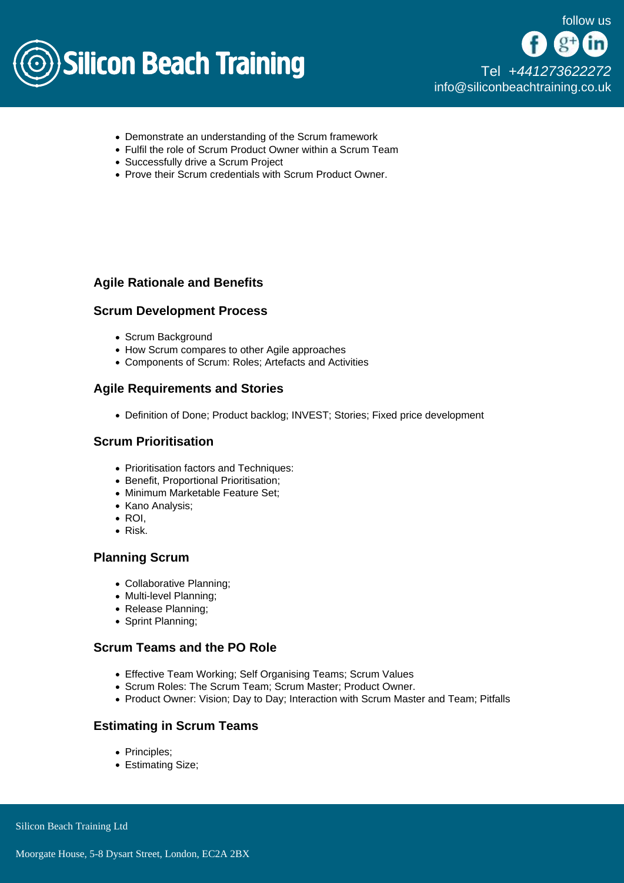

- Demonstrate an understanding of the Scrum framework
- Fulfil the role of Scrum Product Owner within a Scrum Team
- Successfully drive a Scrum Project
- Prove their Scrum credentials with Scrum Product Owner.

### Agile Rationale and Benefits

#### Scrum Development Process

- Scrum Background
- How Scrum compares to other Agile approaches
- Components of Scrum: Roles; Artefacts and Activities

#### Agile Requirements and Stories

Definition of Done; Product backlog; INVEST; Stories; Fixed price development

#### Scrum Prioritisation

- Prioritisation factors and Techniques:
- Benefit, Proportional Prioritisation;
- Minimum Marketable Feature Set;
- Kano Analysis;
- $\bullet$  ROI.
- Risk.

#### Planning Scrum

- Collaborative Planning;
- Multi-level Planning;
- Release Planning;
- Sprint Planning;

#### Scrum Teams and the PO Role

- Effective Team Working; Self Organising Teams; Scrum Values
- Scrum Roles: The Scrum Team; Scrum Master; Product Owner.
- Product Owner: Vision; Day to Day; Interaction with Scrum Master and Team; Pitfalls

### Estimating in Scrum Teams

- Principles;
- Estimating Size;

Silicon Beach Training Ltd